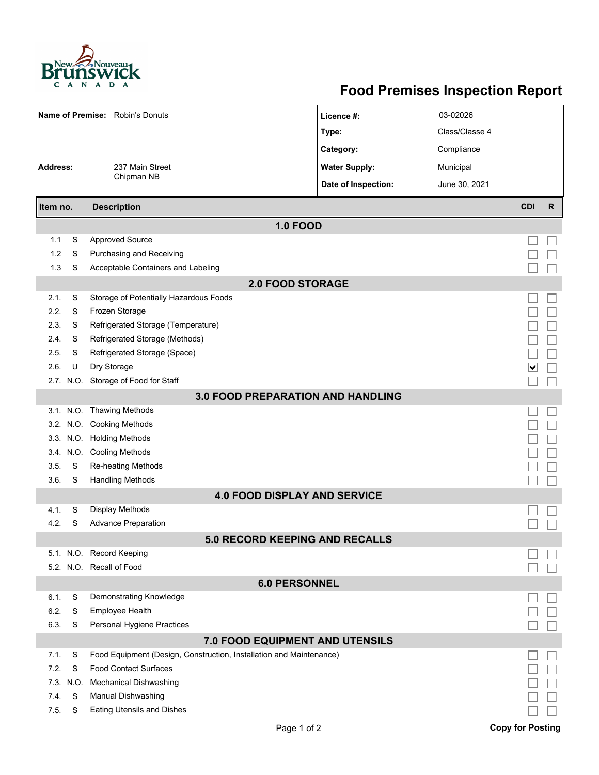

## **Food Premises Inspection Report**

|                                          |      | Name of Premise: Robin's Donuts                                     | Licence #:           | 03-02026       |                         |              |  |  |  |  |
|------------------------------------------|------|---------------------------------------------------------------------|----------------------|----------------|-------------------------|--------------|--|--|--|--|
|                                          |      |                                                                     | Type:                | Class/Classe 4 |                         |              |  |  |  |  |
|                                          |      |                                                                     | Category:            | Compliance     |                         |              |  |  |  |  |
| <b>Address:</b>                          |      | 237 Main Street                                                     | <b>Water Supply:</b> | Municipal      |                         |              |  |  |  |  |
|                                          |      | Chipman NB                                                          | Date of Inspection:  | June 30, 2021  |                         |              |  |  |  |  |
| Item no.                                 |      | <b>Description</b>                                                  |                      |                | <b>CDI</b>              | $\mathsf{R}$ |  |  |  |  |
| <b>1.0 FOOD</b>                          |      |                                                                     |                      |                |                         |              |  |  |  |  |
| 1.1                                      | S    | <b>Approved Source</b>                                              |                      |                |                         |              |  |  |  |  |
| 1.2                                      | S    | Purchasing and Receiving                                            |                      |                |                         |              |  |  |  |  |
| 1.3                                      | S    | Acceptable Containers and Labeling                                  |                      |                |                         |              |  |  |  |  |
| <b>2.0 FOOD STORAGE</b>                  |      |                                                                     |                      |                |                         |              |  |  |  |  |
| 2.1.                                     | S    | Storage of Potentially Hazardous Foods                              |                      |                |                         |              |  |  |  |  |
| 2.2.                                     | S    | Frozen Storage                                                      |                      |                |                         |              |  |  |  |  |
| 2.3.                                     | S    | Refrigerated Storage (Temperature)                                  |                      |                |                         |              |  |  |  |  |
| 2.4.                                     | S    | Refrigerated Storage (Methods)                                      |                      |                |                         |              |  |  |  |  |
| 2.5.                                     | S    | Refrigerated Storage (Space)                                        |                      |                |                         |              |  |  |  |  |
| 2.6.                                     | U    | Dry Storage                                                         |                      |                | ∨                       |              |  |  |  |  |
|                                          |      | 2.7. N.O. Storage of Food for Staff                                 |                      |                |                         |              |  |  |  |  |
| <b>3.0 FOOD PREPARATION AND HANDLING</b> |      |                                                                     |                      |                |                         |              |  |  |  |  |
|                                          |      | 3.1. N.O. Thawing Methods                                           |                      |                |                         |              |  |  |  |  |
|                                          |      | 3.2. N.O. Cooking Methods                                           |                      |                |                         |              |  |  |  |  |
|                                          |      | 3.3. N.O. Holding Methods                                           |                      |                |                         |              |  |  |  |  |
|                                          |      | 3.4. N.O. Cooling Methods                                           |                      |                |                         |              |  |  |  |  |
| 3.5.                                     | S    | Re-heating Methods                                                  |                      |                |                         |              |  |  |  |  |
| 3.6.                                     | S    | <b>Handling Methods</b>                                             |                      |                |                         |              |  |  |  |  |
|                                          |      | <b>4.0 FOOD DISPLAY AND SERVICE</b>                                 |                      |                |                         |              |  |  |  |  |
| 4.1.                                     | S    | <b>Display Methods</b>                                              |                      |                |                         |              |  |  |  |  |
| 4.2.                                     | S    | <b>Advance Preparation</b>                                          |                      |                |                         |              |  |  |  |  |
|                                          |      | <b>5.0 RECORD KEEPING AND RECALLS</b>                               |                      |                |                         |              |  |  |  |  |
|                                          |      | 5.1. N.O. Record Keeping                                            |                      |                |                         |              |  |  |  |  |
|                                          |      | 5.2. N.O. Recall of Food                                            |                      |                |                         |              |  |  |  |  |
| <b>6.0 PERSONNEL</b>                     |      |                                                                     |                      |                |                         |              |  |  |  |  |
| 6.1.                                     | S    | Demonstrating Knowledge                                             |                      |                |                         |              |  |  |  |  |
| 6.2.                                     | S    | Employee Health                                                     |                      |                |                         |              |  |  |  |  |
| 6.3.                                     | S    | Personal Hygiene Practices                                          |                      |                |                         |              |  |  |  |  |
| <b>7.0 FOOD EQUIPMENT AND UTENSILS</b>   |      |                                                                     |                      |                |                         |              |  |  |  |  |
| 7.1.                                     | S    | Food Equipment (Design, Construction, Installation and Maintenance) |                      |                |                         |              |  |  |  |  |
| 7.2.                                     | S    | <b>Food Contact Surfaces</b>                                        |                      |                |                         |              |  |  |  |  |
| 7.3.                                     | N.O. | <b>Mechanical Dishwashing</b>                                       |                      |                |                         |              |  |  |  |  |
| 7.4.                                     | S    | Manual Dishwashing                                                  |                      |                |                         |              |  |  |  |  |
| 7.5.                                     | S    | Eating Utensils and Dishes                                          |                      |                |                         |              |  |  |  |  |
|                                          |      | Page 1 of 2                                                         |                      |                | <b>Copy for Posting</b> |              |  |  |  |  |